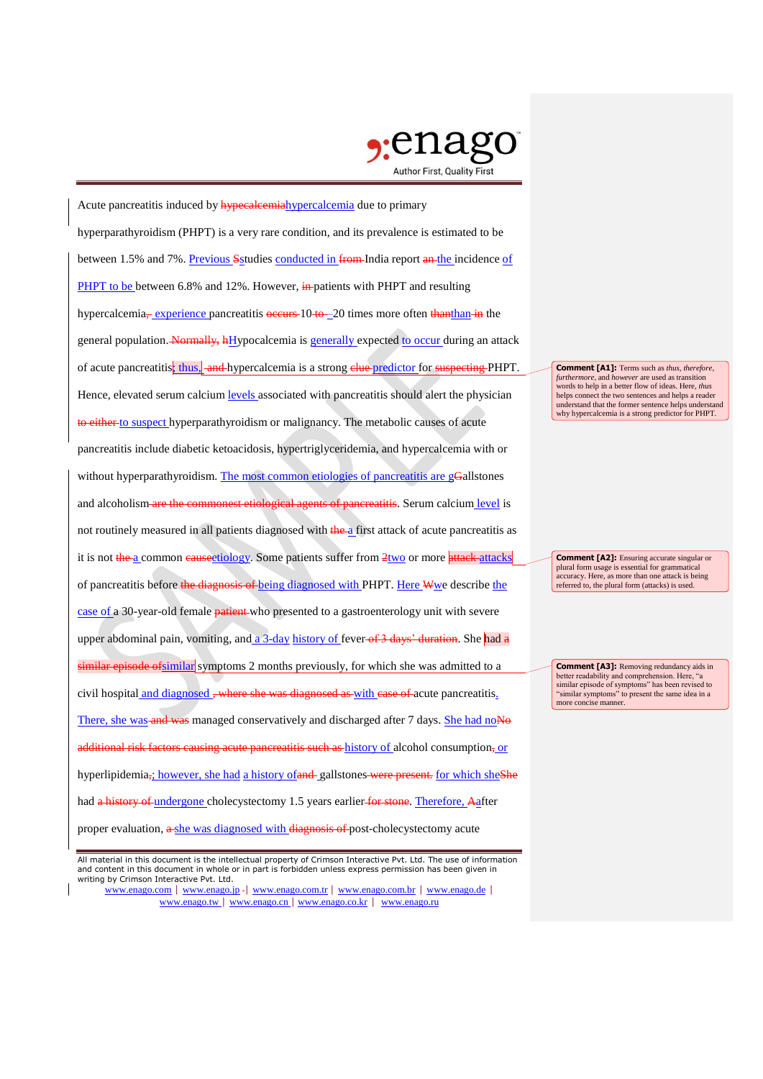

Acute pancreatitis induced by **hypecalcemia** hypercalcemia due to primary hyperparathyroidism (PHPT) is a very rare condition, and its prevalence is estimated to be between 1.5% and 7%. Previous Sstudies conducted in from India report an the incidence of PHPT to be between 6.8% and 12%. However, in patients with PHPT and resulting hypercalcemia—experience pancreatitis occurs 10 to –20 times more often than the the general population. Normally, hHypocalcemia is generally expected to occur during an attack of acute pancreatitis; thus, and hypercalcemia is a strong clue predictor for suspecting PHPT. Hence, elevated serum calcium levels associated with pancreatitis should alert the physician to either to suspect hyperparathyroidism or malignancy. The metabolic causes of acute pancreatitis include diabetic ketoacidosis, hypertriglyceridemia, and hypercalcemia with or without hyperparathyroidism. The most common etiologies of pancreatitis are gGallstones and alcoholism are the commonest etiological agents of pancreatitis. Serum calcium level is not routinely measured in all patients diagnosed with the a first attack of acute pancreatitis as it is not the a common causectiology. Some patients suffer from 2two or more attacks of pancreatitis before the diagnosis of being diagnosed with PHPT. Here Wwe describe the case of a 30-year-old female patient who presented to a gastroenterology unit with severe upper abdominal pain, vomiting, and a 3-day history of fever of 3 days' duration. She had a similar episode of similar symptoms 2 months previously, for which she was admitted to a civil hospital and diagnosed, where she was diagnosed as with case of acute pancreatitis. There, she was and was managed conservatively and discharged after 7 days. She had noNo additional risk factors causing acute pancreatitis such as history of alcohol consumption, or hyperlipidemia<sub>7</sub>; however, she had a history of and gallstones were present. for which sheShe had a history of undergone cholecystectomy 1.5 years earlier for stone. Therefore, Aafter proper evaluation,  $\frac{a \text{ she was diagnosed with diagnosis of-post-cholectg to the work of the body.}$ 

**Comment [A1]:** Terms such as *thus*, *therefore*, *furthermore*, and *however* are used as transition words to help in a better flow of ideas. Here, *thus* helps connect the two sentences and helps a reader understand that the former sentence helps understand why hypercalcemia is a strong predictor for PHPT.

**Comment [A2]:** Ensuring accurate singular or plural form usage is essential for grammatical accuracy. Here, as more than one attack is being referred to, the plural form (attacks) is used.

**Comment [A3]:** Removing redundancy aids in better readability and comprehension. Here, "a similar episode of symptoms" has been revised to "similar symptoms" to present the same idea in a more concise manner.

All material in this document is the intellectual property of Crimson Interactive Pvt. Ltd. The use of information and content in this document in whole or in part is forbidden unless express permission has been given in writing by Crimson Interactive Pvt. Ltd.

www.enago.com | www.enago.jp - | www.enago.com.tr | www.enago.com.br | www.enago.de | www.enago.tw | www.enago.cn | www.enago.co.kr | www.enago.ru